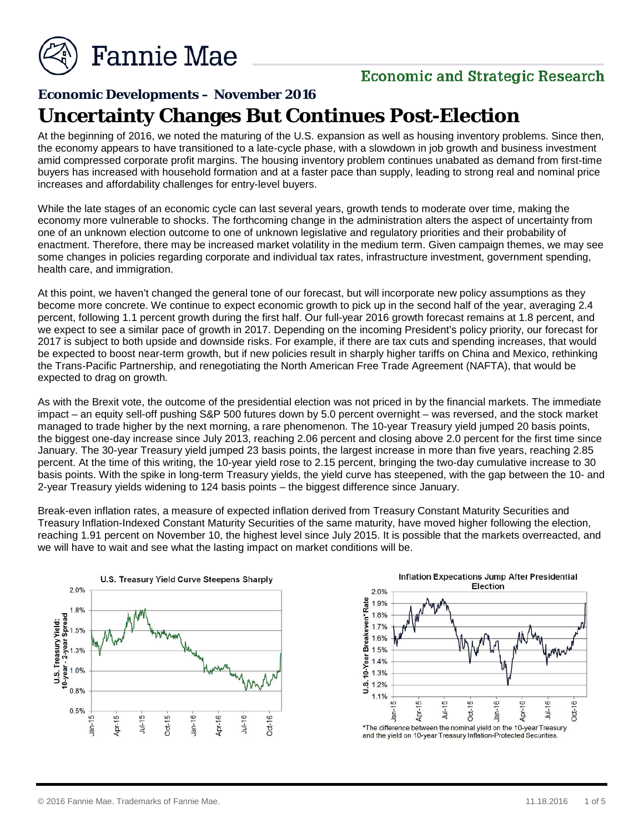

### **Economic and Strategic Research**

## **Economic Developments – November 2016 Uncertainty Changes But Continues Post-Election**

At the beginning of 2016, we noted the maturing of the U.S. expansion as well as housing inventory problems. Since then, the economy appears to have transitioned to a late-cycle phase, with a slowdown in job growth and business investment amid compressed corporate profit margins. The housing inventory problem continues unabated as demand from first-time buyers has increased with household formation and at a faster pace than supply, leading to strong real and nominal price increases and affordability challenges for entry-level buyers.

While the late stages of an economic cycle can last several years, growth tends to moderate over time, making the economy more vulnerable to shocks. The forthcoming change in the administration alters the aspect of uncertainty from one of an unknown election outcome to one of unknown legislative and regulatory priorities and their probability of enactment. Therefore, there may be increased market volatility in the medium term. Given campaign themes, we may see some changes in policies regarding corporate and individual tax rates, infrastructure investment, government spending, health care, and immigration.

At this point, we haven't changed the general tone of our forecast, but will incorporate new policy assumptions as they become more concrete. We continue to expect economic growth to pick up in the second half of the year, averaging 2.4 percent, following 1.1 percent growth during the first half. Our full-year 2016 growth forecast remains at 1.8 percent, and we expect to see a similar pace of growth in 2017. Depending on the incoming President's policy priority, our forecast for 2017 is subject to both upside and downside risks. For example, if there are tax cuts and spending increases, that would be expected to boost near-term growth, but if new policies result in sharply higher tariffs on China and Mexico, rethinking the Trans*-*Pacific Partnership, and renegotiating the North American Free Trade Agreement (NAFTA), that would be expected to drag on growth*.*

As with the Brexit vote, the outcome of the presidential election was not priced in by the financial markets. The immediate impact – an equity sell-off pushing S&P 500 futures down by 5.0 percent overnight – was reversed, and the stock market managed to trade higher by the next morning, a rare phenomenon. The 10-year Treasury yield jumped 20 basis points, the biggest one-day increase since July 2013, reaching 2.06 percent and closing above 2.0 percent for the first time since January. The 30-year Treasury yield jumped 23 basis points, the largest increase in more than five years, reaching 2.85 percent. At the time of this writing, the 10-year yield rose to 2.15 percent, bringing the two-day cumulative increase to 30 basis points. With the spike in long-term Treasury yields, the yield curve has steepened, with the gap between the 10- and 2-year Treasury yields widening to 124 basis points – the biggest difference since January.

Break-even inflation rates, a measure of expected inflation derived from Treasury Constant Maturity Securities and Treasury Inflation-Indexed Constant Maturity Securities of the same maturity, have moved higher following the election, reaching 1.91 percent on November 10, the highest level since July 2015. It is possible that the markets overreacted, and we will have to wait and see what the lasting impact on market conditions will be.



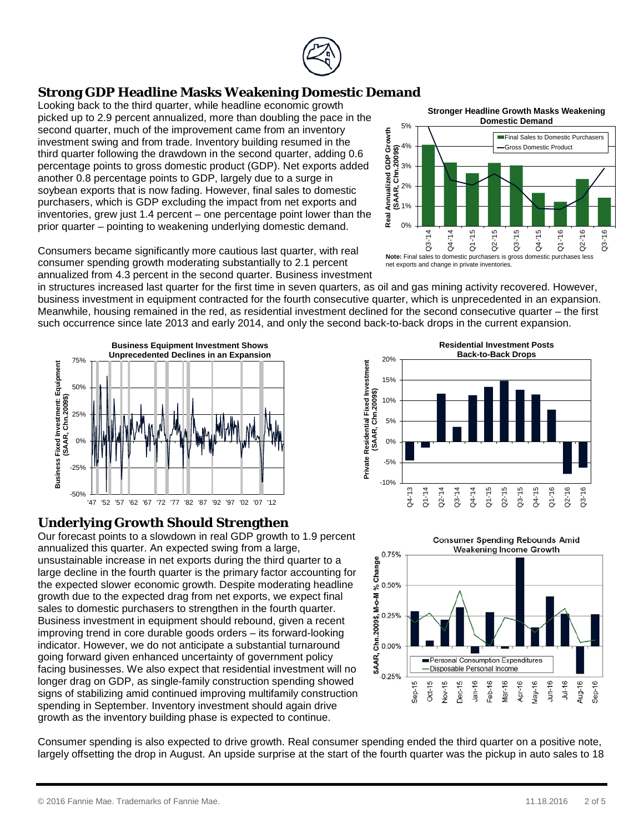#### **Strong GDP Headline Masks Weakening Domestic Demand**

Looking back to the third quarter, while headline economic growth picked up to 2.9 percent annualized, more than doubling the pace in the second quarter, much of the improvement came from an inventory investment swing and from trade. Inventory building resumed in the third quarter following the drawdown in the second quarter, adding 0.6 percentage points to gross domestic product (GDP). Net exports added another 0.8 percentage points to GDP, largely due to a surge in soybean exports that is now fading. However, final sales to domestic purchasers, which is GDP excluding the impact from net exports and inventories, grew just 1.4 percent – one percentage point lower than the prior quarter – pointing to weakening underlying domestic demand.

Consumers became significantly more cautious last quarter, with real consumer spending growth moderating substantially to 2.1 percent annualized from 4.3 percent in the second quarter. Business investment

in structures increased last quarter for the first time in seven quarters, as oil and gas mining activity recovered. However, business investment in equipment contracted for the fourth consecutive quarter, which is unprecedented in an expansion. Meanwhile, housing remained in the red, as residential investment declined for the second consecutive quarter – the first such occurrence since late 2013 and early 2014, and only the second back-to-back drops in the current expansion.



#### **Underlying Growth Should Strengthen**

Our forecast points to a slowdown in real GDP growth to 1.9 percent annualized this quarter. An expected swing from a large, unsustainable increase in net exports during the third quarter to a large decline in the fourth quarter is the primary factor accounting for the expected slower economic growth. Despite moderating headline growth due to the expected drag from net exports, we expect final sales to domestic purchasers to strengthen in the fourth quarter. Business investment in equipment should rebound, given a recent improving trend in core durable goods orders – its forward-looking indicator. However, we do not anticipate a substantial turnaround going forward given enhanced uncertainty of government policy facing businesses. We also expect that residential investment will no longer drag on GDP, as single-family construction spending showed signs of stabilizing amid continued improving multifamily construction spending in September. Inventory investment should again drive growth as the inventory building phase is expected to continue.

**Residential Investment Posts Back-to-Back Drops**20% Private Residential Fixed Investment **Private Residential Fixed Investment**  15% (SAAR, Chn.2009\$) **(SAAR, Chn.2009\$)** 10% 5% 0% -5% -10% Q4-'13 Q1-'14 Q4-'14 Q4-'15 Q2-'14 Q3-'14 Q1-'15 Q2-'15 Q3-'15 Q1-'16 Q2-'16 Q3-'16



Consumer spending is also expected to drive growth. Real consumer spending ended the third quarter on a positive note, largely offsetting the drop in August. An upside surprise at the start of the fourth quarter was the pickup in auto sales to 18

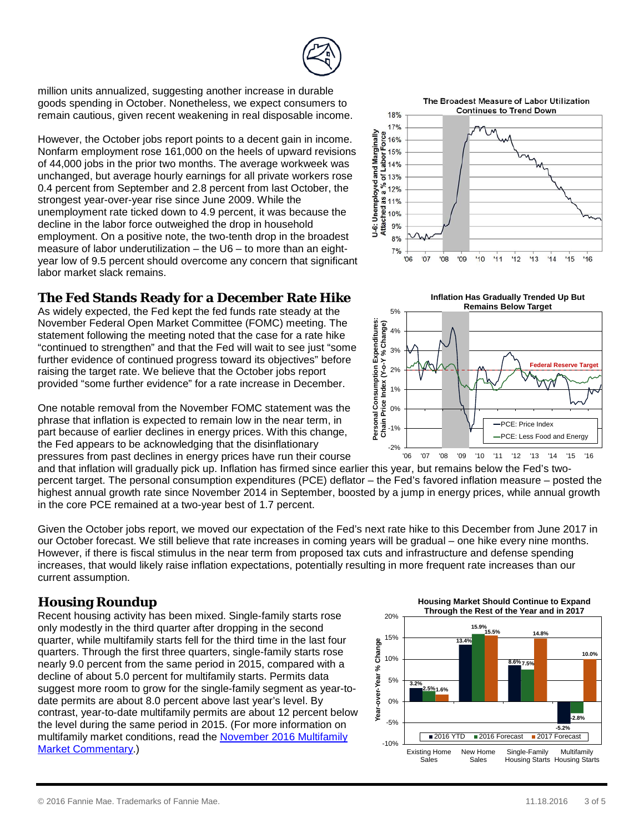

However, the October jobs report points to a decent gain in income. Nonfarm employment rose 161,000 on the heels of upward revisions of 44,000 jobs in the prior two months. The average workweek was unchanged, but average hourly earnings for all private workers rose 0.4 percent from September and 2.8 percent from last October, the strongest year-over-year rise since June 2009. While the unemployment rate ticked down to 4.9 percent, it was because the decline in the labor force outweighed the drop in household employment. On a positive note, the two-tenth drop in the broadest measure of labor underutilization – the U6 – to more than an eightyear low of 9.5 percent should overcome any concern that significant labor market slack remains.

#### **The Fed Stands Ready for a December Rate Hike**

As widely expected, the Fed kept the fed funds rate steady at the November Federal Open Market Committee (FOMC) meeting. The statement following the meeting noted that the case for a rate hike "continued to strengthen" and that the Fed will wait to see just "some further evidence of continued progress toward its objectives" before raising the target rate. We believe that the October jobs report provided "some further evidence" for a rate increase in December.

One notable removal from the November FOMC statement was the phrase that inflation is expected to remain low in the near term, in part because of earlier declines in energy prices. With this change, the Fed appears to be acknowledging that the disinflationary pressures from past declines in energy prices have run their course

and that inflation will gradually pick up. Inflation has firmed since earlier this year, but remains below the Fed's twopercent target. The personal consumption expenditures (PCE) deflator – the Fed's favored inflation measure – posted the highest annual growth rate since November 2014 in September, boosted by a jump in energy prices, while annual growth in the core PCE remained at a two-year best of 1.7 percent.

Given the October jobs report, we moved our expectation of the Fed's next rate hike to this December from June 2017 in our October forecast. We still believe that rate increases in coming years will be gradual – one hike every nine months. However, if there is fiscal stimulus in the near term from proposed tax cuts and infrastructure and defense spending increases, that would likely raise inflation expectations, potentially resulting in more frequent rate increases than our current assumption.

#### **Housing Roundup**

Recent housing activity has been mixed. Single-family starts rose only modestly in the third quarter after dropping in the second quarter, while multifamily starts fell for the third time in the last four quarters. Through the first three quarters, single-family starts rose nearly 9.0 percent from the same period in 2015, compared with a decline of about 5.0 percent for multifamily starts. Permits data suggest more room to grow for the single-family segment as year-todate permits are about 8.0 percent above last year's level. By contrast, year-to-date multifamily permits are about 12 percent below the level during the same period in 2015. (For more information on multifamily market conditions, read the [November 2016 Multifamily](http://fanniemae.com/resources/file/research/emma/pdf/MF_Market_Commentary_112116.pdf)  [Market Commentary.](http://fanniemae.com/resources/file/research/emma/pdf/MF_Market_Commentary_112116.pdf))

The Broadest Measure of Labor Utilization

**Continues to Trend Down** 







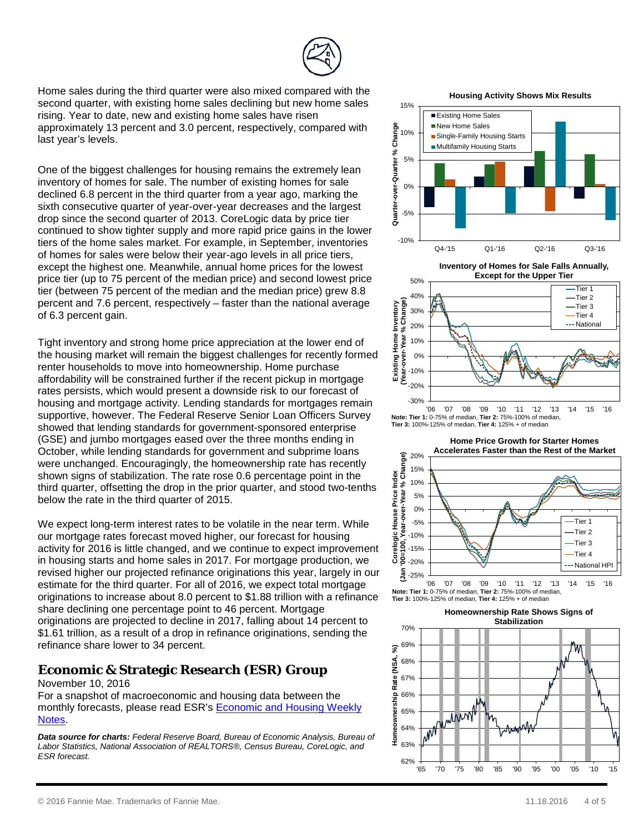Home sales during the third quarter were also mixed compared with the second quarter, with existing home sales declining but new home sales rising. Year to date, new and existing home sales have risen approximately 13 percent and 3.0 percent, respectively, compared with last year's levels.

One of the biggest challenges for housing remains the extremely lean inventory of homes for sale. The number of existing homes for sale declined 6.8 percent in the third quarter from a year ago, marking the sixth consecutive quarter of year-over-year decreases and the largest drop since the second quarter of 2013. CoreLogic data by price tier continued to show tighter supply and more rapid price gains in the lower tiers of the home sales market. For example, in September, inventories of homes for sales were below their year-ago levels in all price tiers, except the highest one. Meanwhile, annual home prices for the lowest price tier (up to 75 percent of the median price) and second lowest price tier (between 75 percent of the median and the median price) grew 8.8 percent and 7.6 percent, respectively – faster than the national average of 6.3 percent gain.

Tight inventory and strong home price appreciation at the lower end of the housing market will remain the biggest challenges for recently formed renter households to move into homeownership. Home purchase affordability will be constrained further if the recent pickup in mortgage rates persists, which would present a downside risk to our forecast of housing and mortgage activity. Lending standards for mortgages remain supportive, however. The Federal Reserve Senior Loan Officers Survey showed that lending standards for government-sponsored enterprise (GSE) and jumbo mortgages eased over the three months ending in October, while lending standards for government and subprime loans were unchanged. Encouragingly, the homeownership rate has recently shown signs of stabilization. The rate rose 0.6 percentage point in the third quarter, offsetting the drop in the prior quarter, and stood two-tenths below the rate in the third quarter of 2015.

We expect long-term interest rates to be volatile in the near term. While our mortgage rates forecast moved higher, our forecast for housing activity for 2016 is little changed, and we continue to expect improvement in housing starts and home sales in 2017. For mortgage production, we revised higher our projected refinance originations this year, largely in our estimate for the third quarter. For all of 2016, we expect total mortgage originations to increase about 8.0 percent to \$1.88 trillion with a refinance share declining one percentage point to 46 percent. Mortgage originations are projected to decline in 2017, falling about 14 percent to \$1.61 trillion, as a result of a drop in refinance originations, sending the refinance share lower to 34 percent.

#### **Economic & Strategic Research (ESR) Group**

November 10, 2016

For a snapshot of macroeconomic and housing data between the monthly forecasts, please read ESR's [Economic and Housing Weekly](http://www.fanniemae.com/portal/research-insights/forecast/weekly-archive.html)  [Notes.](http://www.fanniemae.com/portal/research-insights/forecast/weekly-archive.html)

*Data source for charts: Federal Reserve Board, Bureau of Economic Analysis, Bureau of Labor Statistics, National Association of REALTORS®, Census Bureau, CoreLogic, and ESR forecast.* 62%

**Housing Activity Shows Mix Results** 



**Inventory of Homes for Sale Falls Annually,** 



**Tier 3:** 100%-125% of median, **Tier 4:** 125% + of median



**Tier 3:** 100%-125% of median, **Tier 4:** 125% + of median

**Homeownership Rate Shows Signs of Stabilization**